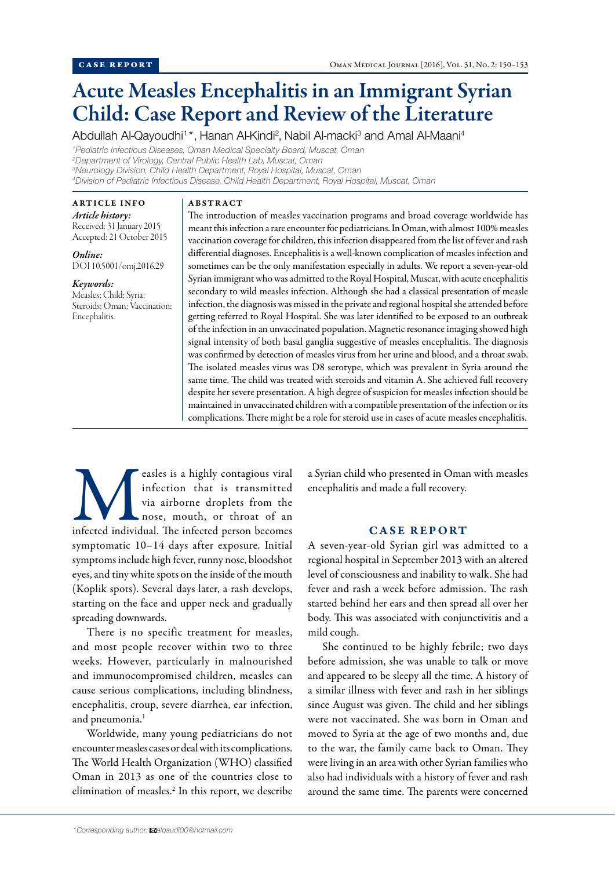# Acute Measles Encephalitis in an Immigrant Syrian Child: Case Report and Review of the Literature

Abdullah Al-Qayoudhi<sup>1\*</sup>, Hanan Al-Kindi<sup>2</sup>, Nabil Al-macki<sup>3</sup> and Amal Al-Maani<sup>4</sup>

*Pediatric Infectious Diseases, Oman Medical Specialty Board, Muscat, Oman Department of Virology, Central Public Health Lab, Muscat, Oman Neurology Division, Child Health Department, Royal Hospital, Muscat, Oman Division of Pediatric Infectious Disease, Child Health Department, Royal Hospital, Muscat, Oman*

## ABSTRACT

*Article history:* Received: 31 January 2015 Accepted: 21 October 2015

ARTICLE INFO

*Online:* DOI 10.5001/omj.2016.29

*Keywords:* Measles; Child; Syria; Steroids; Oman; Vaccination; Encephalitis.

The introduction of measles vaccination programs and broad coverage worldwide has meant this infection a rare encounter for pediatricians. In Oman, with almost 100% measles vaccination coverage for children, this infection disappeared from the list of fever and rash differential diagnoses. Encephalitis is a well-known complication of measles infection and sometimes can be the only manifestation especially in adults. We report a seven-year-old Syrian immigrant who was admitted to the Royal Hospital, Muscat, with acute encephalitis secondary to wild measles infection. Although she had a classical presentation of measle infection, the diagnosis was missed in the private and regional hospital she attended before getting referred to Royal Hospital. She was later identified to be exposed to an outbreak of the infection in an unvaccinated population. Magnetic resonance imaging showed high signal intensity of both basal ganglia suggestive of measles encephalitis. The diagnosis was confirmed by detection of measles virus from her urine and blood, and a throat swab. The isolated measles virus was D8 serotype, which was prevalent in Syria around the same time. The child was treated with steroids and vitamin A. She achieved full recovery despite her severe presentation. A high degree of suspicion for measles infection should be maintained in unvaccinated children with a compatible presentation of the infection or its complications. There might be a role for steroid use in cases of acute measles encephalitis.

**Example 18 Seconds** is a highly contagious viral infection that is transmitted via airborne droplets from the nose, mouth, or throat of an infected individual. The infected person becomes infection that is transmitted via airborne droplets from the nose, mouth, or throat of an symptomatic 10–14 days after exposure. Initial symptoms include high fever, runny nose, bloodshot eyes, and tiny white spots on the inside of the mouth (Koplik spots). Several days later, a rash develops, starting on the face and upper neck and gradually spreading downwards.

There is no specific treatment for measles, and most people recover within two to three weeks. However, particularly in malnourished and immunocompromised children, measles can cause serious complications, including blindness, encephalitis, croup, severe diarrhea, ear infection, and pneumonia.<sup>1</sup>

Worldwide, many young pediatricians do not encounter measles cases or deal with its complications. The World Health Organization (WHO) classified Oman in 2013 as one of the countries close to elimination of measles.2 In this report, we describe a Syrian child who presented in Oman with measles encephalitis and made a full recovery.

## CASE REPORT

A seven-year-old Syrian girl was admitted to a regional hospital in September 2013 with an altered level of consciousness and inability to walk. She had fever and rash a week before admission. The rash started behind her ears and then spread all over her body. This was associated with conjunctivitis and a mild cough.

She continued to be highly febrile; two days before admission, she was unable to talk or move and appeared to be sleepy all the time. A history of a similar illness with fever and rash in her siblings since August was given. The child and her siblings were not vaccinated. She was born in Oman and moved to Syria at the age of two months and, due to the war, the family came back to Oman. They were living in an area with other Syrian families who also had individuals with a history of fever and rash around the same time. The parents were concerned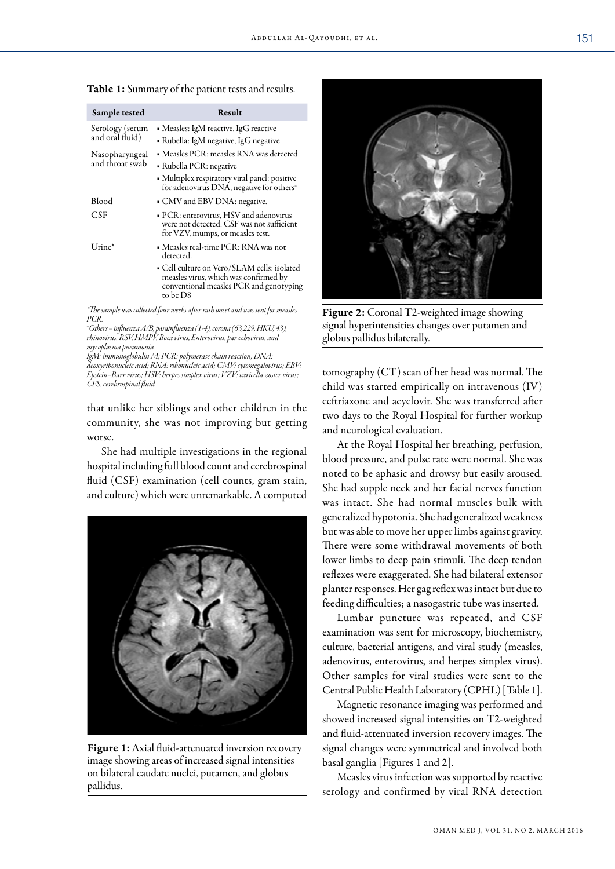| Sample tested                      | Result                                                                                                                                                                                   |  |  |
|------------------------------------|------------------------------------------------------------------------------------------------------------------------------------------------------------------------------------------|--|--|
| Serology (serum<br>and oral fluid) | • Measles: IgM reactive, IgG reactive<br>- Rubella: IgM negative, IgG negative                                                                                                           |  |  |
| Nasopharyngeal<br>and throat swab  | $\blacksquare$ Measles PCR: measles RNA was detected<br>• Rubella PCR: negative<br>• Multiplex respiratory viral panel: positive<br>for adenovirus DNA, negative for others <sup>+</sup> |  |  |
| Blood                              | • CMV and EBV DNA: negative.                                                                                                                                                             |  |  |
| CSF                                | $\blacksquare$ PCR: enterovirus, HSV and adenovirus<br>were not detected. CSF was not sufficient<br>for VZV, mumps, or measles test.                                                     |  |  |
| $U$ rine $*$                       | $\blacksquare$ Measles real-time PCR: RNA was not<br>derected.                                                                                                                           |  |  |
|                                    | • Cell culture on Vero/SLAM cells: isolated<br>measles virus, which was confirmed by<br>conventional measles PCR and genotyping<br>to be D8                                              |  |  |
|                                    | *The sample was collected four weeks after rash onset and was sent for measles                                                                                                           |  |  |

*\*The sample was collected four weeks after rash onset and was sent for measles PCR.*

*+ Others = influenza A/B, parainfluenza (1-4), corona (63,229, HKU, 43), rhinovirus, RSV, HMPV, Boca virus, Enterovirus, par echovirus, and mycoplasma pneumonia.* 

*IgM: immunoglobulin M; PCR: polymerase chain reaction; DNA: deoxyribonucleic acid; RNA: ribonucleic acid; CMV: cytomegalovirus; EBV: Epstein–Barr virus; HSV: herpes simplex virus; VZV: varicella zoster virus; CFS: cerebrospinal fluid.*

that unlike her siblings and other children in the community, she was not improving but getting worse.

She had multiple investigations in the regional hospital including full blood count and cerebrospinal fluid (CSF) examination (cell counts, gram stain, and culture) which were unremarkable. A computed



Figure 1: Axial fluid-attenuated inversion recovery image showing areas of increased signal intensities on bilateral caudate nuclei, putamen, and globus pallidus.



Figure 2: Coronal T2-weighted image showing signal hyperintensities changes over putamen and globus pallidus bilaterally.

tomography (CT) scan of her head was normal. The child was started empirically on intravenous (IV) ceftriaxone and acyclovir. She was transferred after two days to the Royal Hospital for further workup and neurological evaluation.

At the Royal Hospital her breathing, perfusion, blood pressure, and pulse rate were normal. She was noted to be aphasic and drowsy but easily aroused. She had supple neck and her facial nerves function was intact. She had normal muscles bulk with generalized hypotonia. She had generalized weakness but was able to move her upper limbs against gravity. There were some withdrawal movements of both lower limbs to deep pain stimuli. The deep tendon reflexes were exaggerated. She had bilateral extensor planter responses. Her gag reflex was intact but due to feeding difficulties; a nasogastric tube was inserted.

Lumbar puncture was repeated, and CSF examination was sent for microscopy, biochemistry, culture, bacterial antigens, and viral study (measles, adenovirus, enterovirus, and herpes simplex virus). Other samples for viral studies were sent to the Central Public Health Laboratory (CPHL) [Table 1].

Magnetic resonance imaging was performed and showed increased signal intensities on T2-weighted and fluid-attenuated inversion recovery images. The signal changes were symmetrical and involved both basal ganglia [Figures 1 and 2].

Measles virus infection was supported by reactive serology and confirmed by viral RNA detection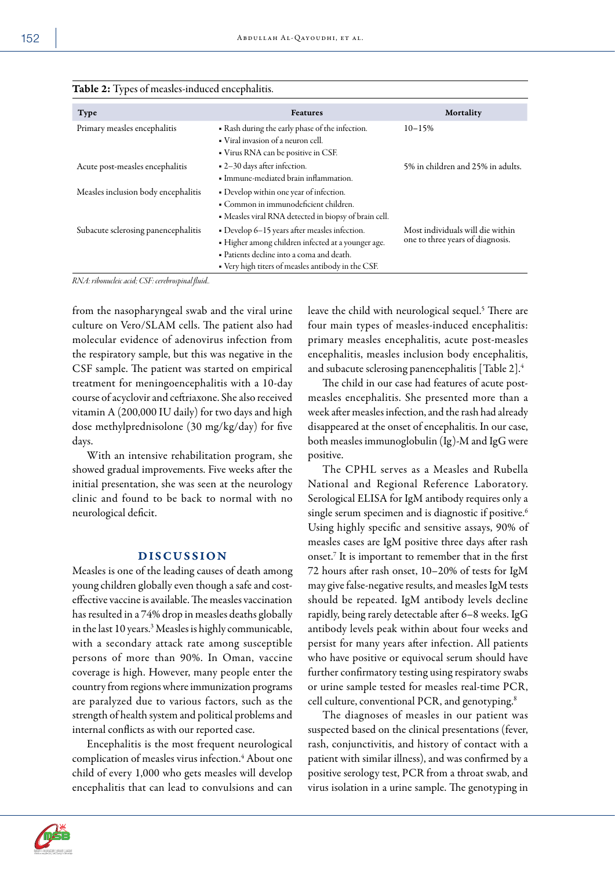| Type                                | <b>Features</b>                                       |                                                                      |  |
|-------------------------------------|-------------------------------------------------------|----------------------------------------------------------------------|--|
|                                     |                                                       | Mortality                                                            |  |
| Primary measles encephalitis        | • Rash during the early phase of the infection.       | $10 - 15%$                                                           |  |
|                                     | • Viral invasion of a neuron cell.                    |                                                                      |  |
|                                     | • Virus RNA can be positive in CSF.                   |                                                                      |  |
| Acute post-measles encephalitis     | $\bullet$ 2-30 days after infection.                  | 5% in children and 25% in adults.                                    |  |
|                                     | • Immune-mediated brain inflammation.                 |                                                                      |  |
| Measles inclusion body encephalitis | • Develop within one year of infection.               |                                                                      |  |
|                                     | • Common in immunodeficient children.                 |                                                                      |  |
|                                     | • Measles viral RNA detected in biopsy of brain cell. |                                                                      |  |
| Subacute sclerosing panencephalitis | • Develop 6–15 years after measles infection.         | Most individuals will die within<br>one to three years of diagnosis. |  |
|                                     | · Higher among children infected at a younger age.    |                                                                      |  |
|                                     | • Patients decline into a coma and death.             |                                                                      |  |
|                                     | • Very high titers of measles antibody in the CSF.    |                                                                      |  |

|  |  |  |  | Table 2: Types of measles-induced encephalitis. |
|--|--|--|--|-------------------------------------------------|
|--|--|--|--|-------------------------------------------------|

*RNA: ribonucleic acid; CSF: cerebrospinal fluid..*

from the nasopharyngeal swab and the viral urine culture on Vero/SLAM cells. The patient also had molecular evidence of adenovirus infection from the respiratory sample, but this was negative in the CSF sample. The patient was started on empirical treatment for meningoencephalitis with a 10-day course of acyclovir and ceftriaxone. She also received vitamin A (200,000 IU daily) for two days and high dose methylprednisolone (30 mg/kg/day) for five days.

With an intensive rehabilitation program, she showed gradual improvements. Five weeks after the initial presentation, she was seen at the neurology clinic and found to be back to normal with no neurological deficit.

## DISCUSSION

Measles is one of the leading causes of death among young children globally even though a safe and costeffective vaccine is available. The measles vaccination has resulted in a 74% drop in measles deaths globally in the last 10 years.<sup>3</sup> Measles is highly communicable, with a secondary attack rate among susceptible persons of more than 90%. In Oman, vaccine coverage is high. However, many people enter the country from regions where immunization programs are paralyzed due to various factors, such as the strength of health system and political problems and internal conflicts as with our reported case.

Encephalitis is the most frequent neurological complication of measles virus infection.<sup>4</sup> About one child of every 1,000 who gets measles will develop encephalitis that can lead to convulsions and can

leave the child with neurological sequel.<sup>5</sup> There are four main types of measles-induced encephalitis: primary measles encephalitis, acute post-measles encephalitis, measles inclusion body encephalitis, and subacute sclerosing panencephalitis [Table 2].<sup>4</sup>

The child in our case had features of acute postmeasles encephalitis. She presented more than a week after measles infection, and the rash had already disappeared at the onset of encephalitis. In our case, both measles immunoglobulin (Ig)-M and IgG were positive.

The CPHL serves as a Measles and Rubella National and Regional Reference Laboratory. Serological ELISA for IgM antibody requires only a single serum specimen and is diagnostic if positive.<sup>6</sup> Using highly specific and sensitive assays, 90% of measles cases are IgM positive three days after rash onset.7 It is important to remember that in the first 72 hours after rash onset, 10–20% of tests for IgM may give false-negative results, and measles IgM tests should be repeated. IgM antibody levels decline rapidly, being rarely detectable after 6–8 weeks. IgG antibody levels peak within about four weeks and persist for many years after infection. All patients who have positive or equivocal serum should have further confirmatory testing using respiratory swabs or urine sample tested for measles real-time PCR, cell culture, conventional PCR, and genotyping.<sup>8</sup>

The diagnoses of measles in our patient was suspected based on the clinical presentations (fever, rash, conjunctivitis, and history of contact with a patient with similar illness), and was confirmed by a positive serology test, PCR from a throat swab, and virus isolation in a urine sample. The genotyping in